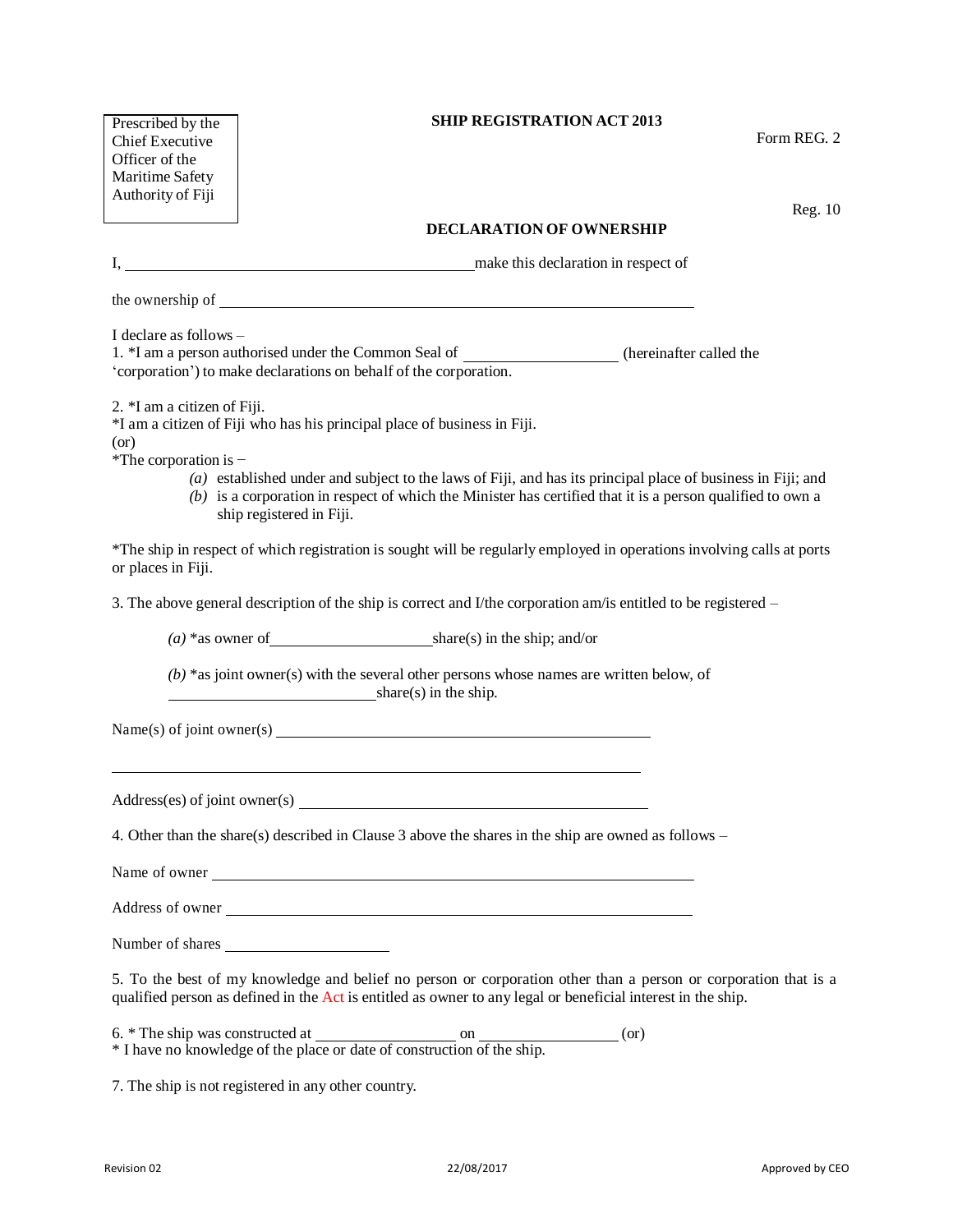| Prescribed by the<br><b>Chief Executive</b><br>Officer of the<br>Maritime Safety<br>Authority of Fiji                                                                                                                                                                                                                                                                                                 | <b>SHIP REGISTRATION ACT 2013</b><br>Form REG. 2<br>Reg. 10                                                                                                                                                                    |
|-------------------------------------------------------------------------------------------------------------------------------------------------------------------------------------------------------------------------------------------------------------------------------------------------------------------------------------------------------------------------------------------------------|--------------------------------------------------------------------------------------------------------------------------------------------------------------------------------------------------------------------------------|
|                                                                                                                                                                                                                                                                                                                                                                                                       | <b>DECLARATION OF OWNERSHIP</b>                                                                                                                                                                                                |
|                                                                                                                                                                                                                                                                                                                                                                                                       | I, make this declaration in respect of                                                                                                                                                                                         |
|                                                                                                                                                                                                                                                                                                                                                                                                       | the ownership of the same state of the state of the state of the state of the state of the state of the state of the state of the state of the state of the state of the state of the state of the state of the state of the s |
| I declare as follows -<br>1. *I am a person authorised under the Common Seal of ______________________ (hereinafter called the<br>'corporation') to make declarations on behalf of the corporation.                                                                                                                                                                                                   |                                                                                                                                                                                                                                |
| 2. *I am a citizen of Fiji.<br>*I am a citizen of Fiji who has his principal place of business in Fiji.<br>(or)<br>*The corporation is -<br>$(a)$ established under and subject to the laws of Fiji, and has its principal place of business in Fiji; and<br>$(b)$ is a corporation in respect of which the Minister has certified that it is a person qualified to own a<br>ship registered in Fiji. |                                                                                                                                                                                                                                |
| *The ship in respect of which registration is sought will be regularly employed in operations involving calls at ports<br>or places in Fiji.                                                                                                                                                                                                                                                          |                                                                                                                                                                                                                                |
| 3. The above general description of the ship is correct and I/the corporation am/is entitled to be registered -                                                                                                                                                                                                                                                                                       |                                                                                                                                                                                                                                |
|                                                                                                                                                                                                                                                                                                                                                                                                       |                                                                                                                                                                                                                                |
| $(b)$ *as joint owner(s) with the several other persons whose names are written below, of<br>$share(s)$ in the ship.                                                                                                                                                                                                                                                                                  |                                                                                                                                                                                                                                |
| Name(s) of joint owner(s)                                                                                                                                                                                                                                                                                                                                                                             |                                                                                                                                                                                                                                |
| Address(es) of joint owner(s)                                                                                                                                                                                                                                                                                                                                                                         |                                                                                                                                                                                                                                |
| 4. Other than the share(s) described in Clause 3 above the shares in the ship are owned as follows $-$                                                                                                                                                                                                                                                                                                |                                                                                                                                                                                                                                |
| Name of owner                                                                                                                                                                                                                                                                                                                                                                                         |                                                                                                                                                                                                                                |
| Address of owner                                                                                                                                                                                                                                                                                                                                                                                      |                                                                                                                                                                                                                                |
| Number of shares                                                                                                                                                                                                                                                                                                                                                                                      |                                                                                                                                                                                                                                |
| 5. To the best of my knowledge and belief no person or corporation other than a person or corporation that is a<br>qualified person as defined in the Act is entitled as owner to any legal or beneficial interest in the ship.                                                                                                                                                                       |                                                                                                                                                                                                                                |
| (or)                                                                                                                                                                                                                                                                                                                                                                                                  |                                                                                                                                                                                                                                |

7. The ship is not registered in any other country.